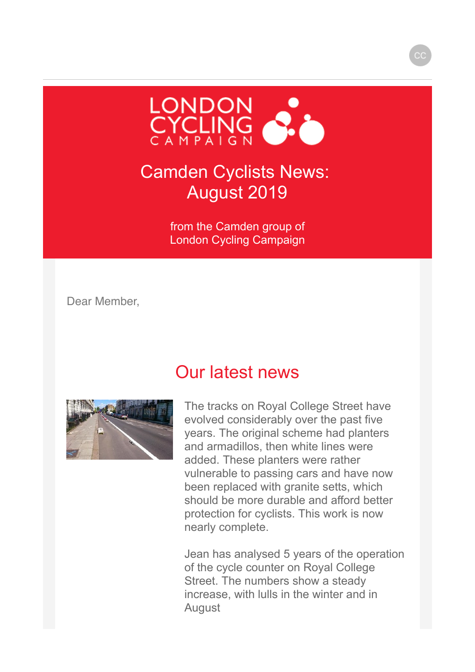

### Camden Cyclists News: August 2019

from the Camden group of London Cycling Campaign

Dear Member,

### Our latest news



The tracks on Royal College Street have evolved considerably over the past five years. The original scheme had planters and armadillos, then white lines were added. These planters were rather vulnerable to passing cars and have now been replaced with granite setts, which should be more durable and afford better protection for cyclists. This work is now nearly complete.

Jean has analysed 5 years of the operation of the cycle counter on Royal College Street. The numbers show a steady increase, with lulls in the winter and in August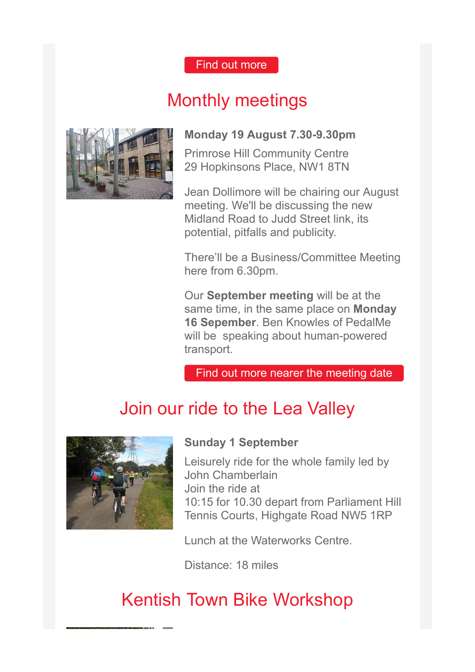#### [Find out more](https://membership.lcc.org.uk/sites/all/modules/civicrm/extern/url.php?u=15254&qid=3338159)

# Monthly meetings



### **Monday 19 August 7.30-9.30pm**

Primrose Hill Community Centre 29 Hopkinsons Place, NW1 8TN

Jean Dollimore will be chairing our August meeting. We'll be discussing the new Midland Road to Judd Street link, its potential, pitfalls and publicity.

There'll be a Business/Committee Meeting here from 6.30pm.

Our **September meeting** will be at the same time, in the same place on **Monday 16 Sepember**. Ben Knowles of PedalMe will be speaking about human-powered transport.

[Find out more nearer the meeting date](https://membership.lcc.org.uk/sites/all/modules/civicrm/extern/url.php?u=15263&qid=3338159)

# Join our ride to the Lea Valley



#### **Sunday 1 September**

Leisurely ride for the whole family led by John Chamberlain Join the ride at 10:15 for 10.30 depart from Parliament Hill Tennis Courts, Highgate Road NW5 1RP

Lunch at the Waterworks Centre.

Distance: 18 miles

# Kentish Town Bike Workshop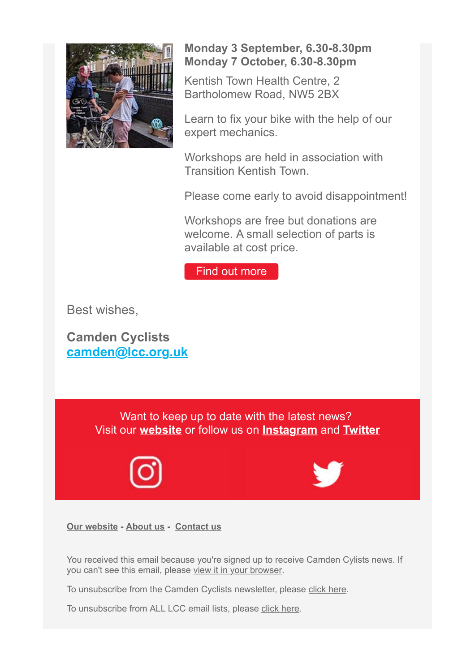

#### **Monday 3 September, 6.30-8.30pm Monday 7 October, 6.30-8.30pm**

Kentish Town Health Centre, 2 Bartholomew Road, NW5 2BX

Learn to fix your bike with the help of our expert mechanics.

Workshops are held in association with Transition Kentish Town.

Please come early to avoid disappointment!

Workshops are free but donations are welcome. A small selection of parts is available at cost price.

[Find out more](https://membership.lcc.org.uk/sites/all/modules/civicrm/extern/url.php?u=15264&qid=3338159)

Best wishes,

**Camden Cyclists [camden@lcc.org.uk](https://membership.lcc.org.uk/sites/all/modules/civicrm/extern/url.php?u=15257&qid=3338159)**

> Want to keep up to date with the latest news? Visit our **[website](https://membership.lcc.org.uk/sites/all/modules/civicrm/extern/url.php?u=15253&qid=3338159)** or follow us on **[Instagram](https://membership.lcc.org.uk/sites/all/modules/civicrm/extern/url.php?u=15258&qid=3338159)** and **[Twitter](https://membership.lcc.org.uk/sites/all/modules/civicrm/extern/url.php?u=15259&qid=3338159)**





**[Our website](https://membership.lcc.org.uk/sites/all/modules/civicrm/extern/url.php?u=15255&qid=3338159) - [About us](https://membership.lcc.org.uk/sites/all/modules/civicrm/extern/url.php?u=15260&qid=3338159) - [Contact us](https://membership.lcc.org.uk/sites/all/modules/civicrm/extern/url.php?u=15261&qid=3338159)**

You received this email because you're signed up to receive Camden Cylists news. If you can't see this email, please [view it in your browser](https://membership.lcc.org.uk/civicrm/mailing/view?reset=1&id=1932).

To unsubscribe from the Camden Cyclists newsletter, please [click here.](https://membership.lcc.org.uk/civicrm/mailing/unsubscribe?reset=1&jid=13420&qid=3338159&h=b6e26e39c36259c7)

To unsubscribe from ALL LCC email lists, please [click here.](https://membership.lcc.org.uk/civicrm/mailing/optout?reset=1&jid=13420&qid=3338159&h=b6e26e39c36259c7)